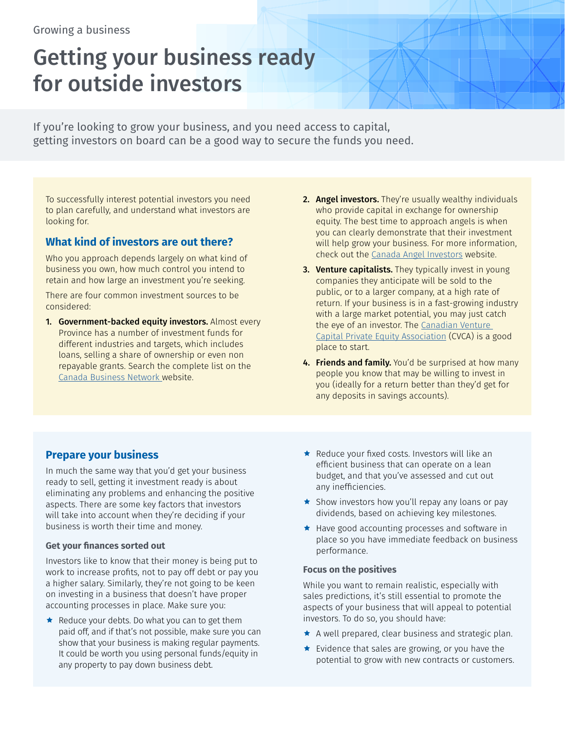# Getting your business ready for outside investors

If you're looking to grow your business, and you need access to capital, getting investors on board can be a good way to secure the funds you need.

To successfully interest potential investors you need to plan carefully, and understand what investors are looking for.

### **What kind of investors are out there?**

Who you approach depends largely on what kind of business you own, how much control you intend to retain and how large an investment you're seeking.

There are four common investment sources to be considered:

- 1. Government-backed equity investors. Almost every Province has a number of investment funds for different industries and targets, which includes loans, selling a share of ownership or even non repayable grants. Search the complete list on the [Canada Business Network w](https://canadabusiness.ca/grants-and-financing/government-grants-and-financing/equity-investments/)ebsite.
- 2. Angel investors. They're usually wealthy individuals who provide capital in exchange for ownership equity. The best time to approach angels is when you can clearly demonstrate that their investment will help grow your business. For more information, check out the [Canada Angel Investors](https://angel.co/canada) website.
- 3. Venture capitalists. They typically invest in young companies they anticipate will be sold to the public, or to a larger company, at a high rate of return. If your business is in a fast-growing industry with a large market potential, you may just catch the eye of an investor. The Canadian Venture [Capital Private Equity Association](http://www.cvca.ca/) (CVCA) is a good place to start.
- 4. Friends and family. You'd be surprised at how many people you know that may be willing to invest in you (ideally for a return better than they'd get for any deposits in savings accounts).

## **Prepare your business**

In much the same way that you'd get your business ready to sell, getting it investment ready is about eliminating any problems and enhancing the positive aspects. There are some key factors that investors will take into account when they're deciding if your business is worth their time and money.

#### **Get your finances sorted out**

Investors like to know that their money is being put to work to increase profits, not to pay off debt or pay you a higher salary. Similarly, they're not going to be keen on investing in a business that doesn't have proper accounting processes in place. Make sure you:

Reduce your debts. Do what you can to get them paid off, and if that's not possible, make sure you can show that your business is making regular payments. It could be worth you using personal funds/equity in any property to pay down business debt.

- $\star$  Reduce your fixed costs. Investors will like an efficient business that can operate on a lean budget, and that you've assessed and cut out any inefficiencies.
- $\star$  Show investors how you'll repay any loans or pay dividends, based on achieving key milestones.
- $\star$  Have good accounting processes and software in place so you have immediate feedback on business performance.

#### **Focus on the positives**

While you want to remain realistic, especially with sales predictions, it's still essential to promote the aspects of your business that will appeal to potential investors. To do so, you should have:

- $\star$  A well prepared, clear business and strategic plan.
- $\star$  Evidence that sales are growing, or you have the potential to grow with new contracts or customers.